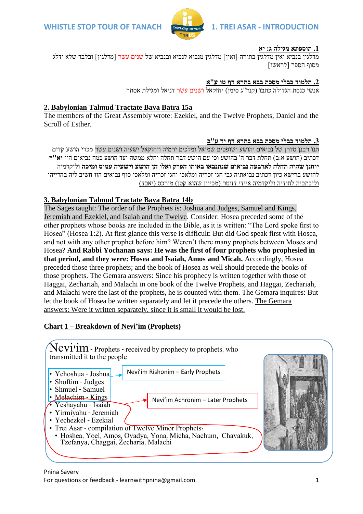

### **.1 תוספתא מגילה ג: יא**

מדלגין בנביא ואין מדלגין בתורה [ואין] מדלגין מנביא לנביא ובנביא של שנים עשר [מדלגין] ובלבד שלא ידלג מסוף הספר ]לראשו[

# **.2 תלמוד בבלי מסכת בבא בתרא דף טו ע"א**

אנשי כנסת הגדולה כתבו (קנד"ג סימן) יחזקאל <mark>ושנים עשר ד</mark>ניאל ומגילת אסתר

## **2. Babylonian Talmud Tractate Bava Batra 15a**

The members of the Great Assembly wrote: Ezekiel, and the Twelve Prophets, Daniel and the Scroll of Esther.

### **.3 תלמוד בבלי מסכת בבא בתרא דף יד ע"ב**

תנו רבנן סדרן של נביאים יהושע ושופטים שמואל ומלכים ירמיה ויחזקאל ישעיה ושנים עשר מכדי הושע קדים דכתיב )הושע א:ב( תחלת דבר ה' בהושע וכי עם הושע דבר תחלה והלא ממשה ועד הושע כמה נביאים היו **וא"ר יוחנן שהיה תחלה לארבעה נביאים שנתנבאו באותו הפרק ואלו הן הושע וישעיה עמוס ומיכה** וליקדמיה להושע ברישא כיון דכתיב נבואתיה גבי חגי זכריה ומלאכי וחגי זכריה ומלאכי סוף נביאים הוו חשיב ליה בהדייהו וליכתביה לחודיה וליקדמיה איידי דזוטר (מכיוון שהוא קטן) מירכס (יאבד)

# **3. Babylonian Talmud Tractate Bava Batra 14b**

The Sages taught: The order of the Prophets is: Joshua and Judges, Samuel and Kings, Jeremiah and Ezekiel, and Isaiah and the Twelve. Consider: Hosea preceded some of the other prophets whose books are included in the Bible, as it is written: "The Lord spoke first to Hosea" [\(Hosea 1:2\)](/Hosea.1.2). At first glance this verse is difficult: But did God speak first with Hosea, and not with any other prophet before him? Weren't there many prophets between Moses and Hosea? **And Rabbi Yochanan says: He was the first of four prophets who prophesied in that period, and they were: Hosea and Isaiah, Amos and Micah.** Accordingly, Hosea preceded those three prophets; and the book of Hosea as well should precede the books of those prophets. The Gemara answers: Since his prophecy is written together with those of Haggai, Zechariah, and Malachi in one book of the Twelve Prophets, and Haggai, Zechariah, and Malachi were the last of the prophets, he is counted with them. The Gemara inquires: But let the book of Hosea be written separately and let it precede the others. The Gemara answers: Were it written separately, since it is small it would be lost.

# **Chart 1 – Breakdown of Nevi'im (Prophets)**